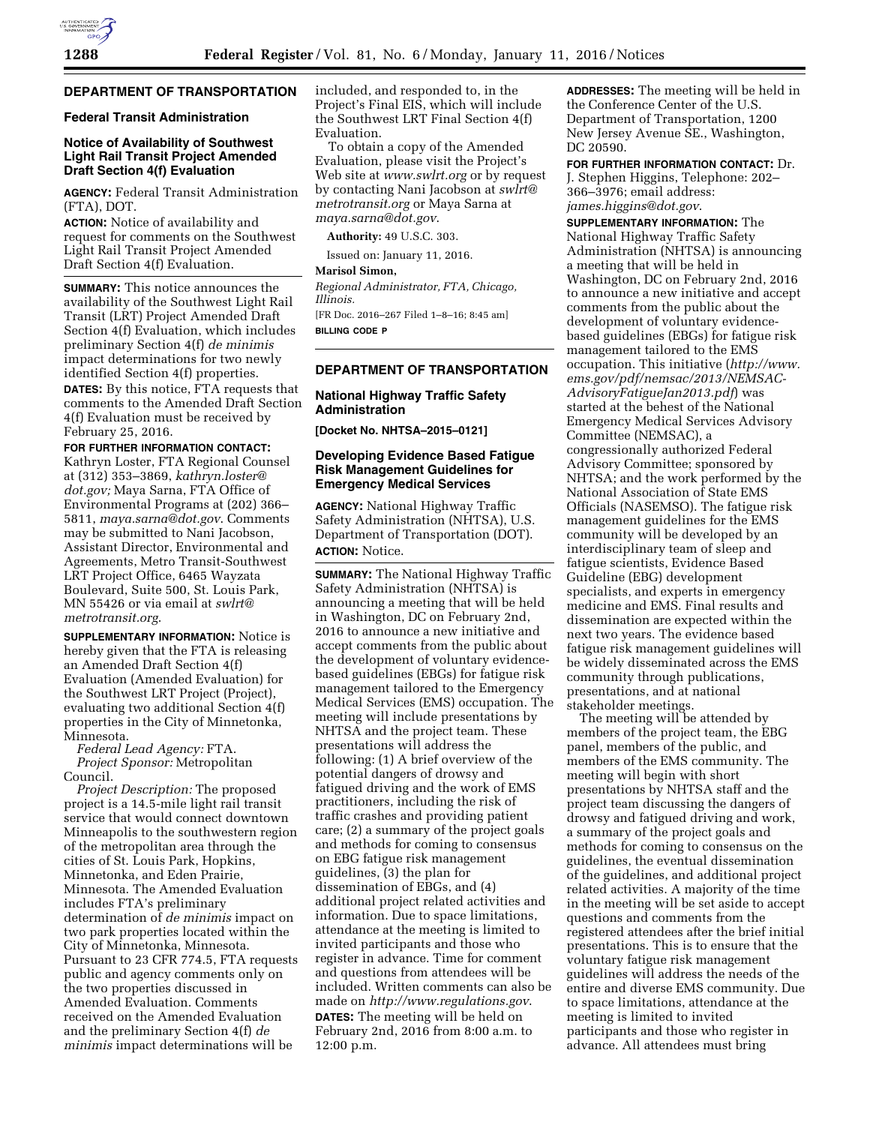# **DEPARTMENT OF TRANSPORTATION**

# **Federal Transit Administration**

### **Notice of Availability of Southwest Light Rail Transit Project Amended Draft Section 4(f) Evaluation**

**AGENCY:** Federal Transit Administration (FTA), DOT.

**ACTION:** Notice of availability and request for comments on the Southwest Light Rail Transit Project Amended Draft Section 4(f) Evaluation.

**SUMMARY:** This notice announces the availability of the Southwest Light Rail Transit (LRT) Project Amended Draft Section 4(f) Evaluation, which includes preliminary Section 4(f) *de minimis*  impact determinations for two newly identified Section 4(f) properties. **DATES:** By this notice, FTA requests that comments to the Amended Draft Section 4(f) Evaluation must be received by February 25, 2016.

#### **FOR FURTHER INFORMATION CONTACT:**

Kathryn Loster, FTA Regional Counsel at (312) 353–3869, *[kathryn.loster@](mailto:kathryn.loster@dot.gov) [dot.gov;](mailto:kathryn.loster@dot.gov)* Maya Sarna, FTA Office of Environmental Programs at (202) 366– 5811, *[maya.sarna@dot.gov](mailto:maya.sarna@dot.gov)*. Comments may be submitted to Nani Jacobson, Assistant Director, Environmental and Agreements, Metro Transit-Southwest LRT Project Office, 6465 Wayzata Boulevard, Suite 500, St. Louis Park, MN 55426 or via email at *[swlrt@](mailto:swlrt@metrotransit.org) [metrotransit.org](mailto:swlrt@metrotransit.org)*.

**SUPPLEMENTARY INFORMATION:** Notice is hereby given that the FTA is releasing an Amended Draft Section 4(f) Evaluation (Amended Evaluation) for the Southwest LRT Project (Project), evaluating two additional Section 4(f) properties in the City of Minnetonka, Minnesota.

*Federal Lead Agency:* FTA. *Project Sponsor:* Metropolitan Council.

*Project Description:* The proposed project is a 14.5-mile light rail transit service that would connect downtown Minneapolis to the southwestern region of the metropolitan area through the cities of St. Louis Park, Hopkins, Minnetonka, and Eden Prairie, Minnesota. The Amended Evaluation includes FTA's preliminary determination of *de minimis* impact on two park properties located within the City of Minnetonka, Minnesota. Pursuant to 23 CFR 774.5, FTA requests public and agency comments only on the two properties discussed in Amended Evaluation. Comments received on the Amended Evaluation and the preliminary Section 4(f) *de minimis* impact determinations will be

included, and responded to, in the Project's Final EIS, which will include the Southwest LRT Final Section 4(f) Evaluation.

To obtain a copy of the Amended Evaluation, please visit the Project's Web site at *[www.swlrt.org](http://www.swlrt.org)* or by request by contacting Nani Jacobson at *[swlrt@](mailto:swlrt@metrotransit.org) [metrotransit.org](mailto:swlrt@metrotransit.org)* or Maya Sarna at *[maya.sarna@dot.gov](mailto:maya.sarna@dot.gov)*.

**Authority:** 49 U.S.C. 303.

Issued on: January 11, 2016.

**Marisol Simon,** 

*Regional Administrator, FTA, Chicago, Illinois.*  [FR Doc. 2016–267 Filed 1–8–16; 8:45 am]

**BILLING CODE P** 

### **DEPARTMENT OF TRANSPORTATION**

### **National Highway Traffic Safety Administration**

**[Docket No. NHTSA–2015–0121]** 

## **Developing Evidence Based Fatigue Risk Management Guidelines for Emergency Medical Services**

**AGENCY:** National Highway Traffic Safety Administration (NHTSA), U.S. Department of Transportation (DOT). **ACTION:** Notice.

**SUMMARY:** The National Highway Traffic Safety Administration (NHTSA) is announcing a meeting that will be held in Washington, DC on February 2nd, 2016 to announce a new initiative and accept comments from the public about the development of voluntary evidencebased guidelines (EBGs) for fatigue risk management tailored to the Emergency Medical Services (EMS) occupation. The meeting will include presentations by NHTSA and the project team. These presentations will address the following: (1) A brief overview of the potential dangers of drowsy and fatigued driving and the work of EMS practitioners, including the risk of traffic crashes and providing patient care; (2) a summary of the project goals and methods for coming to consensus on EBG fatigue risk management guidelines, (3) the plan for dissemination of EBGs, and (4) additional project related activities and information. Due to space limitations, attendance at the meeting is limited to invited participants and those who register in advance. Time for comment and questions from attendees will be included. Written comments can also be made on *<http://www.regulations.gov>*. **DATES:** The meeting will be held on February 2nd, 2016 from 8:00 a.m. to

12:00 p.m.

**ADDRESSES:** The meeting will be held in the Conference Center of the U.S. Department of Transportation, 1200 New Jersey Avenue SE., Washington, DC 20590.

**FOR FURTHER INFORMATION CONTACT:** Dr. J. Stephen Higgins, Telephone: 202– 366–3976; email address: *[james.higgins@dot.gov](mailto:james.higgins@dot.gov)*.

**SUPPLEMENTARY INFORMATION:** The National Highway Traffic Safety Administration (NHTSA) is announcing a meeting that will be held in Washington, DC on February 2nd, 2016 to announce a new initiative and accept comments from the public about the development of voluntary evidencebased guidelines (EBGs) for fatigue risk management tailored to the EMS occupation. This initiative (*[http://www.](http://www.ems.gov/pdf/nemsac/2013/NEMSAC-AdvisoryFatigueJan2013.pdf) [ems.gov/pdf/nemsac/2013/NEMSAC-](http://www.ems.gov/pdf/nemsac/2013/NEMSAC-AdvisoryFatigueJan2013.pdf)[AdvisoryFatigueJan2013.pdf](http://www.ems.gov/pdf/nemsac/2013/NEMSAC-AdvisoryFatigueJan2013.pdf)*) was started at the behest of the National Emergency Medical Services Advisory Committee (NEMSAC), a congressionally authorized Federal Advisory Committee; sponsored by NHTSA; and the work performed by the National Association of State EMS Officials (NASEMSO). The fatigue risk management guidelines for the EMS community will be developed by an interdisciplinary team of sleep and fatigue scientists, Evidence Based Guideline (EBG) development specialists, and experts in emergency medicine and EMS. Final results and dissemination are expected within the next two years. The evidence based fatigue risk management guidelines will be widely disseminated across the EMS community through publications, presentations, and at national stakeholder meetings.

The meeting will be attended by members of the project team, the EBG panel, members of the public, and members of the EMS community. The meeting will begin with short presentations by NHTSA staff and the project team discussing the dangers of drowsy and fatigued driving and work, a summary of the project goals and methods for coming to consensus on the guidelines, the eventual dissemination of the guidelines, and additional project related activities. A majority of the time in the meeting will be set aside to accept questions and comments from the registered attendees after the brief initial presentations. This is to ensure that the voluntary fatigue risk management guidelines will address the needs of the entire and diverse EMS community. Due to space limitations, attendance at the meeting is limited to invited participants and those who register in advance. All attendees must bring